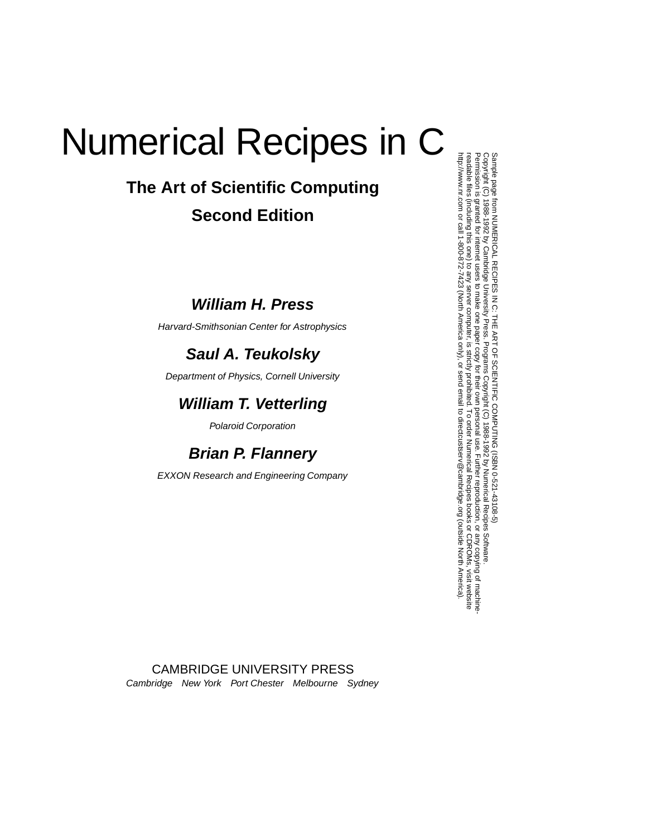# Numerical Recipes in C

# **The Art of Scientific Computing Second Edition**

**William H. Press**

Harvard-Smithsonian Center for Astrophysics

# **Saul A. Teukolsky**

Department of Physics, Cornell University

## **William T. Vetterling**

Polaroid Corporation

## **Brian P. Flannery**

EXXON Research and Engineering Company

Permission is granted for internet users to make one paper copy for their own personal use. Further reproduction, or any copyin Copyright (C) 1988-1992 by Cambridge University Press.Sample page from NUMERICAL RECIPES IN C: THE ART OF SCIENTIFIC COMPUTING (ISBN 0-521-43108-5)<br>Copyright (C) 1988-1992 by Cambridge University Press. Programs Copyright (C) 1988-1992 by Numerical Recipes Software Programs Copyright (C) 1988-1992 by Numerical Recipes Software. Sample page from NUMERICAL RECIPES IN C: THE ART OF SCIENTIFIC COMPUTING (ISBN 0-521-43108-5) g of machinereadable files (including this one) to any servercomputer, is strictly prohibited. To order Numerical Recipes booksor CDROMs, visit website http://www.nr.com or call 1-800-872-7423 (North America only),http://www.nr.com or call 1-800-872-7423 (North America only), or send email to directcustserv@cambridge.org (outside North America). or send email to directcustserv@cambridge.org (outside North America).

CAMBRIDGE UNIVERSITY PRESS Cambridge New York Port Chester Melbourne Sydney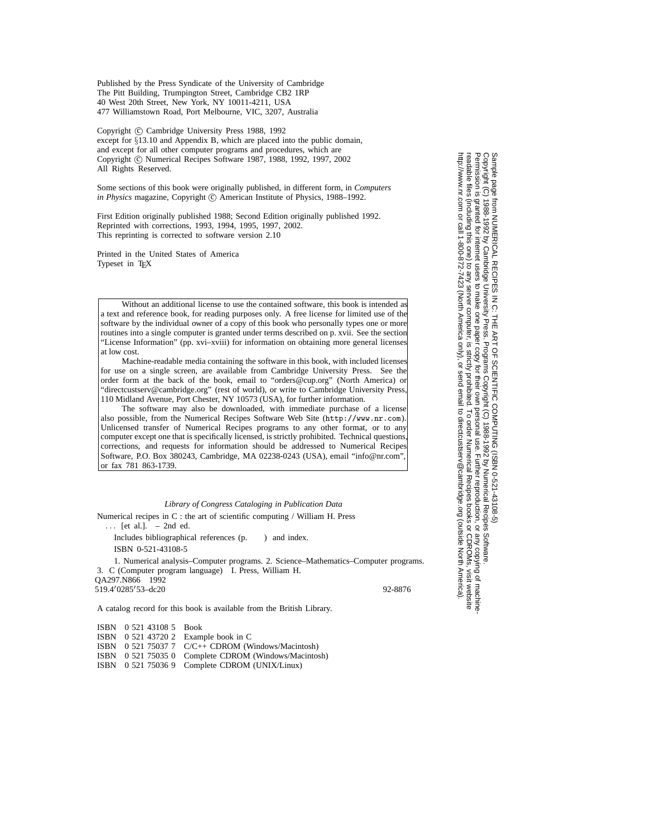Published by the Press Syndicate of the University of Cambridge The Pitt Building, Trumpington Street, Cambridge CB2 1RP 40 West 20th Street, New York, NY 10011-4211, USA 477 Williamstown Road, Port Melbourne, VIC, 3207, Australia

Copyright © Cambridge University Press 1988, 1992 except for §13.10 and Appendix B, which are placed into the public domain, and except for all other computer programs and procedures, which are Copyright © Numerical Recipes Software 1987, 1988, 1992, 1997, 2002 All Rights Reserved.

Some sections of this book were originally published, in different form, in *Computers in Physics* magazine, Copyright  $\odot$  American Institute of Physics, 1988–1992.

First Edition originally published 1988; Second Edition originally published 1992. Reprinted with corrections, 1993, 1994, 1995, 1997, 2002. This reprinting is corrected to software version 2.10

Printed in the United States of America Typeset in TEX

Without an additional license to use the contained software, this book is intended as a text and reference book, for reading purposes only. A free license for limited use of the software by the individual owner of a copy of this book who personally types one or more routines into a single computer is granted under terms described on p. xvii. See the section "License Information" (pp. xvi–xviii) for information on obtaining more general licenses at low cost.

Machine-readable media containing the software in this book, with included licenses for use on a single screen, are available from Cambridge University Press. See the order form at the back of the book, email to "orders@cup.org" (North America) or "directcustserv@cambridge.org" (rest of world), or write to Cambridge University Press, 110 Midland Avenue, Port Chester, NY 10573 (USA), for further information.

The software may also be downloaded, with immediate purchase of a license also possible, from the Numerical Recipes Software Web Site (http://www.nr.com). Unlicensed transfer of Numerical Recipes programs to any other format, or to any computer except one that is specifically licensed, is strictly prohibited. Technical questions, corrections, and requests for information should be addressed to Numerical Recipes Software, P.O. Box 380243, Cambridge, MA 02238-0243 (USA), email "info@nr.com", or fax 781 863-1739.

*Library of Congress Cataloging in Publication Data*

Numerical recipes in C : the art of scientific computing / William H. Press *...* [et al.]. – 2nd ed.

Includes bibliographical references (p. ) and index. ISBN 0-521-43108-5

1. Numerical analysis–Computer programs. 2. Science–Mathematics–Computer programs. 3. C (Computer program language) I. Press, William H. QA297.N866 1992 519.4 0285 53–dc20 92-8876

A catalog record for this book is available from the British Library.

ISBN 0 521 43108 5 Book ISBN 0 521 43720 2 Example book in C ISBN 0 521 75037 7 C/C++ CDROM (Windows/Macintosh) ISBN 0 521 75035 0 Complete CDROM (Windows/Macintosh) ISBN 0 521 75036 9 Complete CDROM (UNIX/Linux)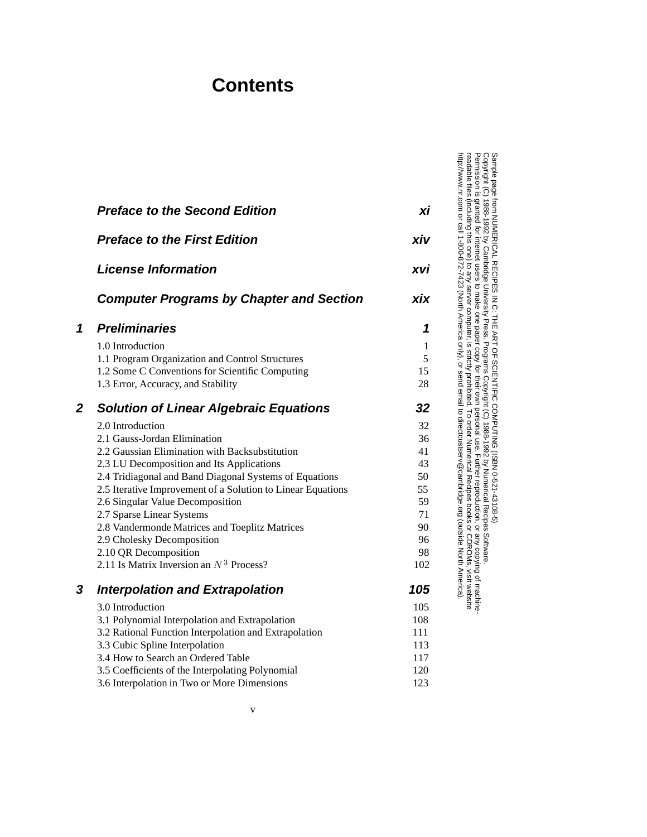# **Contents**

|                | <b>Preface to the Second Edition</b>                        | хi  |
|----------------|-------------------------------------------------------------|-----|
|                |                                                             |     |
|                | <b>Preface to the First Edition</b>                         | xiv |
|                | <b>License Information</b>                                  | xvi |
|                | <b>Computer Programs by Chapter and Section</b>             | xix |
| $\mathbf 1$    | <b>Preliminaries</b>                                        | 1   |
|                | 1.0 Introduction                                            | 1   |
|                | 1.1 Program Organization and Control Structures             | 5   |
|                | 1.2 Some C Conventions for Scientific Computing             | 15  |
|                | 1.3 Error, Accuracy, and Stability                          | 28  |
| $\overline{2}$ | <b>Solution of Linear Algebraic Equations</b>               | 32  |
|                | 2.0 Introduction                                            | 32  |
|                | 2.1 Gauss-Jordan Elimination                                | 36  |
|                | 2.2 Gaussian Elimination with Backsubstitution              | 41  |
|                | 2.3 LU Decomposition and Its Applications                   | 43  |
|                | 2.4 Tridiagonal and Band Diagonal Systems of Equations      | 50  |
|                | 2.5 Iterative Improvement of a Solution to Linear Equations | 55  |
|                | 2.6 Singular Value Decomposition                            | 59  |
|                | 2.7 Sparse Linear Systems                                   | 71  |
|                | 2.8 Vandermonde Matrices and Toeplitz Matrices              | 90  |
|                | 2.9 Cholesky Decomposition                                  | 96  |
|                | 2.10 QR Decomposition                                       | 98  |
|                | 2.11 Is Matrix Inversion an $N^3$ Process?                  | 102 |
| 3              | <b>Interpolation and Extrapolation</b>                      | 105 |
|                | 3.0 Introduction                                            | 105 |
|                | 3.1 Polynomial Interpolation and Extrapolation              | 108 |
|                | 3.2 Rational Function Interpolation and Extrapolation       | 111 |
|                | 3.3 Cubic Spline Interpolation                              | 113 |
|                | 3.4 How to Search an Ordered Table                          | 117 |
|                | 3.5 Coefficients of the Interpolating Polynomial            | 120 |

Permission is granted for internet users to make one paper copy for their own personal use. Further reproduction, or any copyin

Sample page from NUMERICAL RECIPES IN C: THE ART OF SCIENTIFIC COMPUTING (ISBN 0-521-43108-5)

Programs Copyright (C) 1988-1992 by Numerical Recipes Software.

g of machine-

Copyright (C) 1988-1992 by Cambridge University Press.

3.6 Interpolation in Two or More Dimensions 123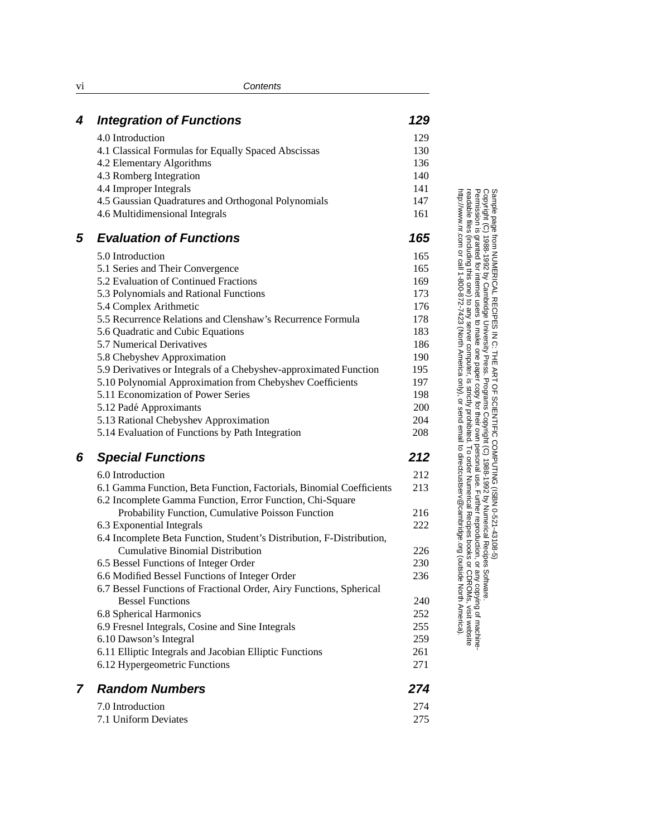| $\boldsymbol{4}$ | <b>Integration of Functions</b>                                       | 129 |
|------------------|-----------------------------------------------------------------------|-----|
|                  | 4.0 Introduction                                                      | 129 |
|                  | 4.1 Classical Formulas for Equally Spaced Abscissas                   | 130 |
|                  | 4.2 Elementary Algorithms                                             | 136 |
|                  | 4.3 Romberg Integration                                               | 140 |
|                  | 4.4 Improper Integrals                                                | 141 |
|                  | 4.5 Gaussian Quadratures and Orthogonal Polynomials                   | 147 |
|                  | 4.6 Multidimensional Integrals                                        | 161 |
| 5                | <b>Evaluation of Functions</b>                                        | 165 |
|                  | 5.0 Introduction                                                      | 165 |
|                  | 5.1 Series and Their Convergence                                      | 165 |
|                  | 5.2 Evaluation of Continued Fractions                                 | 169 |
|                  | 5.3 Polynomials and Rational Functions                                | 173 |
|                  | 5.4 Complex Arithmetic                                                | 176 |
|                  | 5.5 Recurrence Relations and Clenshaw's Recurrence Formula            | 178 |
|                  | 5.6 Quadratic and Cubic Equations                                     | 183 |
|                  | 5.7 Numerical Derivatives                                             | 186 |
|                  | 5.8 Chebyshev Approximation                                           | 190 |
|                  | 5.9 Derivatives or Integrals of a Chebyshev-approximated Function     | 195 |
|                  | 5.10 Polynomial Approximation from Chebyshev Coefficients             | 197 |
|                  | 5.11 Economization of Power Series                                    | 198 |
|                  | 5.12 Padé Approximants                                                | 200 |
|                  | 5.13 Rational Chebyshev Approximation                                 | 204 |
|                  | 5.14 Evaluation of Functions by Path Integration                      | 208 |
| 6                | <b>Special Functions</b>                                              | 212 |
|                  | 6.0 Introduction                                                      | 212 |
|                  | 6.1 Gamma Function, Beta Function, Factorials, Binomial Coefficients  | 213 |
|                  | 6.2 Incomplete Gamma Function, Error Function, Chi-Square             |     |
|                  | Probability Function, Cumulative Poisson Function                     | 216 |
|                  | 6.3 Exponential Integrals                                             | 222 |
|                  | 6.4 Incomplete Beta Function, Student's Distribution, F-Distribution, |     |
|                  | <b>Cumulative Binomial Distribution</b>                               | 226 |
|                  | 6.5 Bessel Functions of Integer Order                                 | 230 |
|                  | 6.6 Modified Bessel Functions of Integer Order                        | 236 |
|                  | 6.7 Bessel Functions of Fractional Order, Airy Functions, Spherical   |     |
|                  | <b>Bessel Functions</b>                                               | 240 |
|                  | 6.8 Spherical Harmonics                                               | 252 |
|                  | 6.9 Fresnel Integrals, Cosine and Sine Integrals                      | 255 |
|                  | 6.10 Dawson's Integral                                                | 259 |
|                  | 6.11 Elliptic Integrals and Jacobian Elliptic Functions               | 261 |
|                  | 6.12 Hypergeometric Functions                                         | 271 |
| $\overline{7}$   | <b>Random Numbers</b>                                                 | 274 |
|                  | 7.0 Introduction                                                      | 274 |
|                  | 7.1 Uniform Deviates                                                  | 275 |
|                  |                                                                       |     |

computer, is strictly prohibited. To order Numerical Recipes books

Sample page from NUMERICAL RECIPES IN C: THE ART OF SCIENTIFIC COMPUTING (ISBN 0-521-43108-5)

Programs Copyright (C) 1988-1992 by Numerical Recipes Software.

g of machine-

or CDROMs, visit website

Copyright (C) 1988-1992 by Cambridge University Press.

readable files (including this one) to any server

vi Contents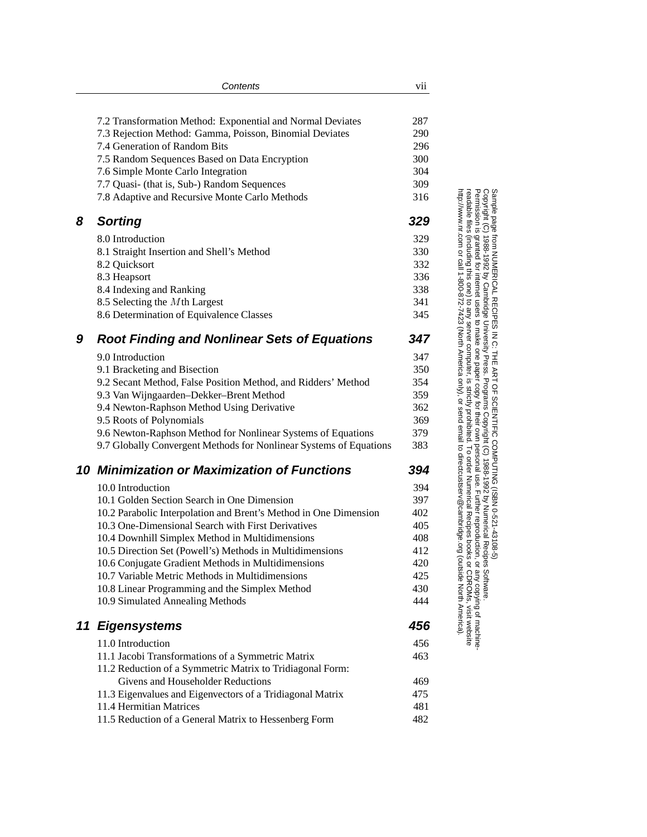|    | Contents                                                           | vii |
|----|--------------------------------------------------------------------|-----|
|    |                                                                    |     |
|    | 7.2 Transformation Method: Exponential and Normal Deviates         | 287 |
|    | 7.3 Rejection Method: Gamma, Poisson, Binomial Deviates            | 290 |
|    | 7.4 Generation of Random Bits                                      | 296 |
|    | 7.5 Random Sequences Based on Data Encryption                      | 300 |
|    | 7.6 Simple Monte Carlo Integration                                 | 304 |
|    | 7.7 Quasi- (that is, Sub-) Random Sequences                        | 309 |
|    | 7.8 Adaptive and Recursive Monte Carlo Methods                     | 316 |
| 8  | <b>Sorting</b>                                                     | 329 |
|    | 8.0 Introduction                                                   | 329 |
|    | 8.1 Straight Insertion and Shell's Method                          | 330 |
|    | 8.2 Quicksort                                                      | 332 |
|    | 8.3 Heapsort                                                       | 336 |
|    | 8.4 Indexing and Ranking                                           | 338 |
|    | 8.5 Selecting the Mth Largest                                      | 341 |
|    | 8.6 Determination of Equivalence Classes                           | 345 |
| 9  | <b>Root Finding and Nonlinear Sets of Equations</b>                | 347 |
|    | 9.0 Introduction                                                   | 347 |
|    | 9.1 Bracketing and Bisection                                       | 350 |
|    | 9.2 Secant Method, False Position Method, and Ridders' Method      | 354 |
|    | 9.3 Van Wijngaarden-Dekker-Brent Method                            | 359 |
|    | 9.4 Newton-Raphson Method Using Derivative                         | 362 |
|    | 9.5 Roots of Polynomials                                           | 369 |
|    | 9.6 Newton-Raphson Method for Nonlinear Systems of Equations       | 379 |
|    | 9.7 Globally Convergent Methods for Nonlinear Systems of Equations | 383 |
|    | 10 Minimization or Maximization of Functions                       | 394 |
|    | 10.0 Introduction                                                  | 394 |
|    | 10.1 Golden Section Search in One Dimension                        | 397 |
|    | 10.2 Parabolic Interpolation and Brent's Method in One Dimension   | 402 |
|    | 10.3 One-Dimensional Search with First Derivatives                 | 405 |
|    | 10.4 Downhill Simplex Method in Multidimensions                    | 408 |
|    | 10.5 Direction Set (Powell's) Methods in Multidimensions           | 412 |
|    | 10.6 Conjugate Gradient Methods in Multidimensions                 | 420 |
|    | 10.7 Variable Metric Methods in Multidimensions                    | 425 |
|    | 10.8 Linear Programming and the Simplex Method                     | 430 |
|    | 10.9 Simulated Annealing Methods                                   | 444 |
| 11 | <b>Eigensystems</b>                                                | 456 |
|    | 11.0 Introduction                                                  | 456 |
|    | 11.1 Jacobi Transformations of a Symmetric Matrix                  | 463 |
|    | 11.2 Reduction of a Symmetric Matrix to Tridiagonal Form:          |     |
|    | Givens and Householder Reductions                                  | 469 |
|    | 11.3 Eigenvalues and Eigenvectors of a Tridiagonal Matrix          | 475 |
|    | 11.4 Hermitian Matrices                                            | 481 |
|    | 11.5 Reduction of a General Matrix to Hessenberg Form              | 482 |
|    |                                                                    |     |

computer, is strictly prohibited. To order Numerical Recipes books

or send email to directcustserv@cambridge.org (outside North America).

Sample page from NUMERICAL RECIPES IN C: THE ART OF SCIENTIFIC COMPUTING (ISBN 0-521-43108-5)

Programs Copyright (C) 1988-1992 by Numerical Recipes Software.

g of machine-

or CDROMs, visit website

Copyright (C) 1988-1992 by Cambridge University Press.

readable files (including this one) to any server

http://www.nr.com or call 1-800-872-7423 (North America only),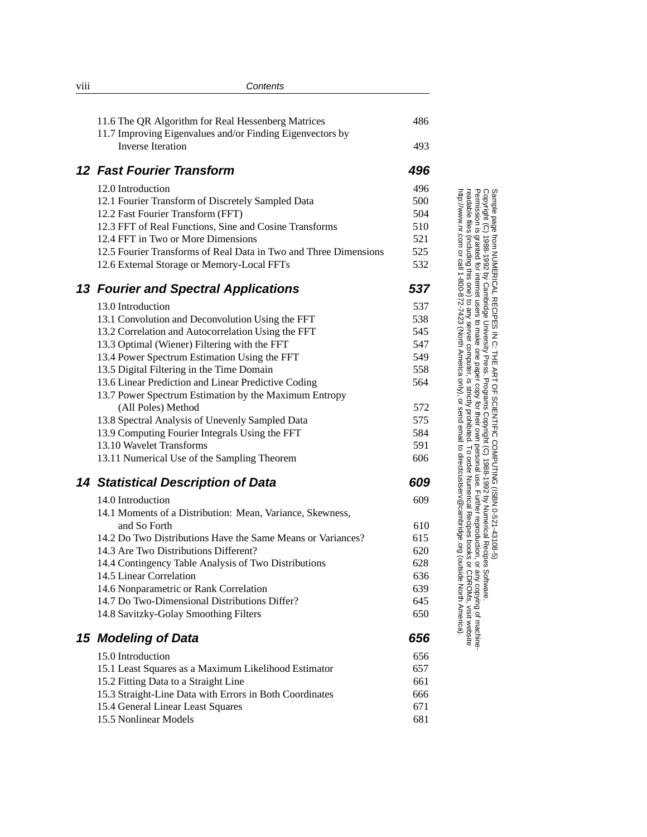| 486                                                                     |
|-------------------------------------------------------------------------|
|                                                                         |
| 493                                                                     |
| 496                                                                     |
| 496                                                                     |
| 500                                                                     |
| 504                                                                     |
| 510                                                                     |
| 521                                                                     |
| 12.5 Fourier Transforms of Real Data in Two and Three Dimensions<br>525 |
| 532                                                                     |
| 537                                                                     |
| 537                                                                     |
| 538                                                                     |
| 545                                                                     |
| 547                                                                     |
| 549                                                                     |
| 558                                                                     |
| 564                                                                     |
|                                                                         |
| 572                                                                     |
| 575                                                                     |
| 584                                                                     |
| 591                                                                     |
| 606                                                                     |
| 609                                                                     |
| 609                                                                     |
|                                                                         |
| 610                                                                     |
| 615                                                                     |
| 620                                                                     |
| 628                                                                     |
| 636                                                                     |
| 639                                                                     |
| 645                                                                     |
| 650                                                                     |
| 656                                                                     |
| 656                                                                     |
| 657                                                                     |
| 661                                                                     |
| 666                                                                     |
| 671                                                                     |
| 681                                                                     |
|                                                                         |

computer, is strictly prohibited. To order Numerical Recipes books

or send email to directcustserv@cambridge.org (outside North America).

Sample page from NUMERICAL RECIPES IN C: THE ART OF SCIENTIFIC COMPUTING (ISBN 0-521-43108-5)

Programs Copyright (C) 1988-1992 by Numerical Recipes Software.

g of machine-

or CDROMs, visit website

Copyright (C) 1988-1992 by Cambridge University Press.

readable files (including this one) to any server

http://www.nr.com or call 1-800-872-7423 (North America only),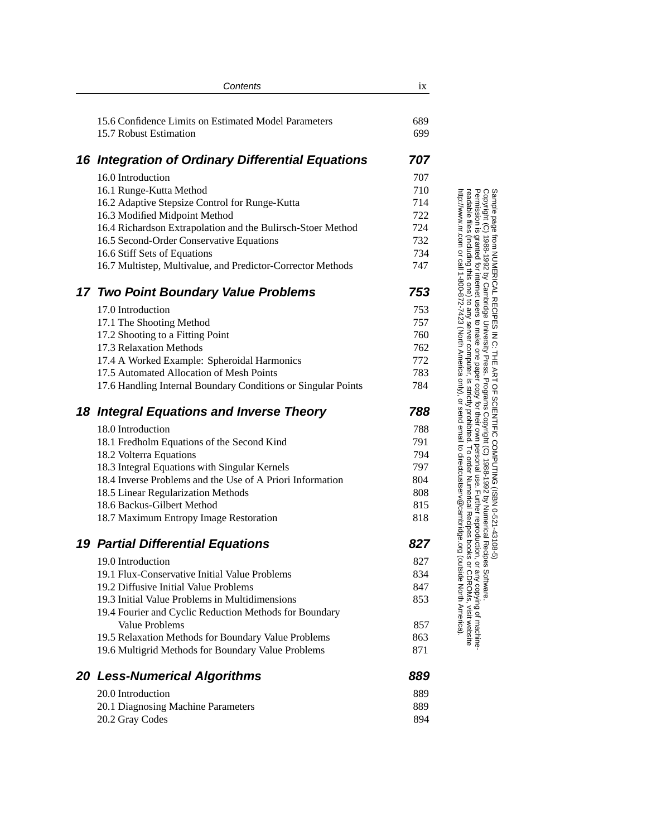| Contents                                                      | 1X  |
|---------------------------------------------------------------|-----|
| 15.6 Confidence Limits on Estimated Model Parameters          | 689 |
| 15.7 Robust Estimation                                        | 699 |
| 16 Integration of Ordinary Differential Equations             | 707 |
| 16.0 Introduction                                             | 707 |
| 16.1 Runge-Kutta Method                                       | 710 |
| 16.2 Adaptive Stepsize Control for Runge-Kutta                | 714 |
| 16.3 Modified Midpoint Method                                 | 722 |
| 16.4 Richardson Extrapolation and the Bulirsch-Stoer Method   | 724 |
| 16.5 Second-Order Conservative Equations                      | 732 |
| 16.6 Stiff Sets of Equations                                  | 734 |
| 16.7 Multistep, Multivalue, and Predictor-Corrector Methods   | 747 |
| 17 Two Point Boundary Value Problems                          | 753 |
| 17.0 Introduction                                             | 753 |
| 17.1 The Shooting Method                                      | 757 |
| 17.2 Shooting to a Fitting Point                              | 760 |
| 17.3 Relaxation Methods                                       | 762 |
| 17.4 A Worked Example: Spheroidal Harmonics                   | 772 |
| 17.5 Automated Allocation of Mesh Points                      | 783 |
| 17.6 Handling Internal Boundary Conditions or Singular Points | 784 |
| 18 Integral Equations and Inverse Theory                      | 788 |
| 18.0 Introduction                                             | 788 |
| 18.1 Fredholm Equations of the Second Kind                    | 791 |
| 18.2 Volterra Equations                                       | 794 |
| 18.3 Integral Equations with Singular Kernels                 | 797 |
| 18.4 Inverse Problems and the Use of A Priori Information     | 804 |
| 18.5 Linear Regularization Methods                            | 808 |
| 18.6 Backus-Gilbert Method                                    | 815 |
| 18.7 Maximum Entropy Image Restoration                        | 818 |
| <b>19 Partial Differential Equations</b>                      | 827 |
| 19.0 Introduction                                             | 827 |
| 19.1 Flux-Conservative Initial Value Problems                 | 834 |
| 19.2 Diffusive Initial Value Problems                         | 847 |
| 19.3 Initial Value Problems in Multidimensions                | 853 |
| 19.4 Fourier and Cyclic Reduction Methods for Boundary        |     |
| <b>Value Problems</b>                                         | 857 |
| 19.5 Relaxation Methods for Boundary Value Problems           | 863 |
| 19.6 Multigrid Methods for Boundary Value Problems            | 871 |
| 20 Less-Numerical Algorithms                                  | 889 |
| 20.0 Introduction                                             | 889 |
| 20.1 Diagnosing Machine Parameters                            | 889 |
| 20.2 Gray Codes                                               | 894 |

computer, is strictly prohibited. To order Numerical Recipes books

or send email to directcustserv@cambridge.org (outside North America).

Sample page from NUMERICAL RECIPES IN C: THE ART OF SCIENTIFIC COMPUTING (ISBN 0-521-43108-5)

Programs Copyright (C) 1988-1992 by Numerical Recipes Software.

g of machine-

or CDROMs, visit website

Copyright (C) 1988-1992 by Cambridge University Press.

readable files (including this one) to any server

http://www.nr.com or call 1-800-872-7423 (North America only),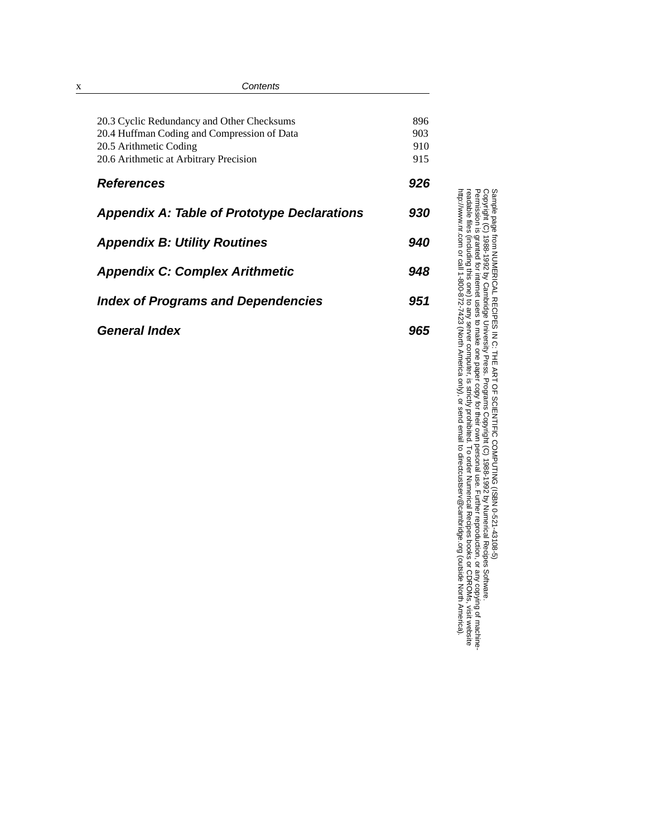| X | Contents                                           |     |
|---|----------------------------------------------------|-----|
|   | 20.3 Cyclic Redundancy and Other Checksums         | 896 |
|   | 20.4 Huffman Coding and Compression of Data        | 903 |
|   | 20.5 Arithmetic Coding                             | 910 |
|   | 20.6 Arithmetic at Arbitrary Precision             | 915 |
|   | <b>References</b>                                  | 926 |
|   | <b>Appendix A: Table of Prototype Declarations</b> | 930 |
|   | <b>Appendix B: Utility Routines</b>                | 940 |
|   | <b>Appendix C: Complex Arithmetic</b>              | 948 |
|   | <b>Index of Programs and Dependencies</b>          | 951 |
|   | <b>General Index</b>                               | 965 |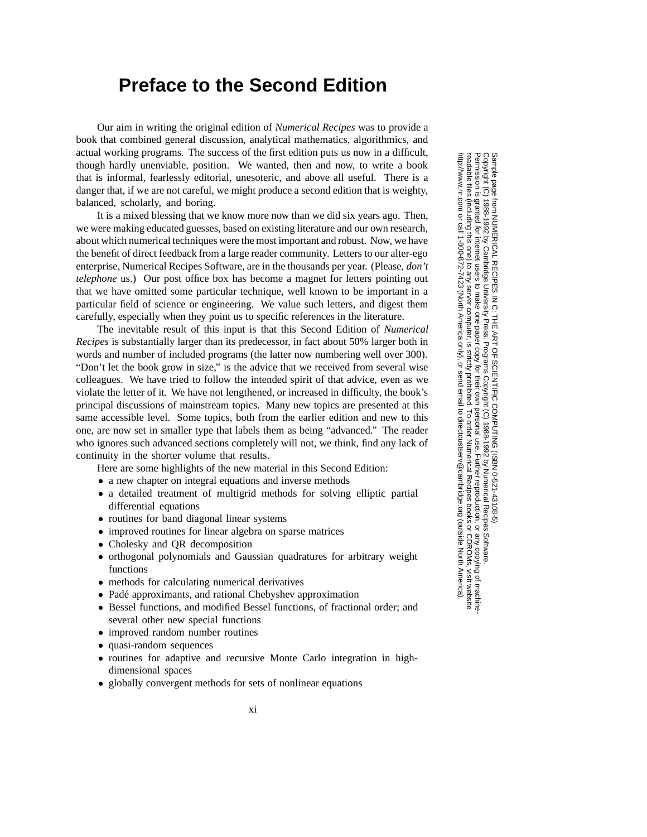#### **Preface to the Second Edition**

Our aim in writing the original edition of *Numerical Recipes* was to provide a book that combined general discussion, analytical mathematics, algorithmics, and actual working programs. The success of the first edition puts us now in a difficult, though hardly unenviable, position. We wanted, then and now, to write a book that is informal, fearlessly editorial, unesoteric, and above all useful. There is a danger that, if we are not careful, we might produce a second edition that is weighty, balanced, scholarly, and boring.

It is a mixed blessing that we know more now than we did six years ago. Then, we were making educated guesses, based on existing literature and our own research, about which numerical techniques were the most important and robust. Now, we have the benefit of direct feedback from a large reader community. Letters to our alter-ego enterprise, Numerical Recipes Software, are in the thousands per year. (Please, *don't telephone* us.) Our post office box has become a magnet for letters pointing out that we have omitted some particular technique, well known to be important in a particular field of science or engineering. We value such letters, and digest them carefully, especially when they point us to specific references in the literature.

The inevitable result of this input is that this Second Edition of *Numerical Recipes* is substantially larger than its predecessor, in fact about 50% larger both in words and number of included programs (the latter now numbering well over 300). "Don't let the book grow in size," is the advice that we received from several wise colleagues. We have tried to follow the intended spirit of that advice, even as we violate the letter of it. We have not lengthened, or increased in difficulty, the book's principal discussions of mainstream topics. Many new topics are presented at this same accessible level. Some topics, both from the earlier edition and new to this one, are now set in smaller type that labels them as being "advanced." The reader who ignores such advanced sections completely will not, we think, find any lack of continuity in the shorter volume that results.

Here are some highlights of the new material in this Second Edition:

- *•* a new chapter on integral equations and inverse methods
- *•* a detailed treatment of multigrid methods for solving elliptic partial differential equations
- routines for band diagonal linear systems
- *•* improved routines for linear algebra on sparse matrices
- *•* Cholesky and QR decomposition
- *•* orthogonal polynomials and Gaussian quadratures for arbitrary weight functions
- methods for calculating numerical derivatives
- Padé approximants, and rational Chebyshev approximation
- *•* Bessel functions, and modified Bessel functions, of fractional order; and several other new special functions
- *•* improved random number routines
- *•* quasi-random sequences
- *•* routines for adaptive and recursive Monte Carlo integration in highdimensional spaces
- globally convergent methods for sets of nonlinear equations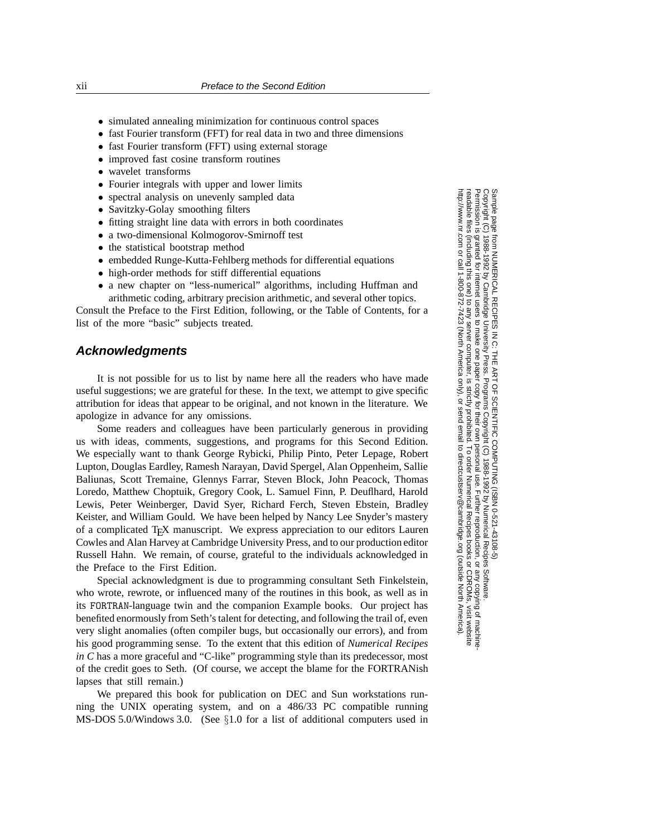- *•* simulated annealing minimization for continuous control spaces
- fast Fourier transform (FFT) for real data in two and three dimensions
- fast Fourier transform (FFT) using external storage
- *•* improved fast cosine transform routines
- *•* wavelet transforms
- Fourier integrals with upper and lower limits
- *•* spectral analysis on unevenly sampled data
- *•* Savitzky-Golay smoothing filters
- fitting straight line data with errors in both coordinates
- *•* a two-dimensional Kolmogorov-Smirnoff test
- the statistical bootstrap method
- *•* embedded Runge-Kutta-Fehlberg methods for differential equations
- high-order methods for stiff differential equations
- *•* a new chapter on "less-numerical" algorithms, including Huffman and arithmetic coding, arbitrary precision arithmetic, and several other topics.

Consult the Preface to the First Edition, following, or the Table of Contents, for a list of the more "basic" subjects treated.

#### **Acknowledgments**

It is not possible for us to list by name here all the readers who have made useful suggestions; we are grateful for these. In the text, we attempt to give specific attribution for ideas that appear to be original, and not known in the literature. We apologize in advance for any omissions.

Some readers and colleagues have been particularly generous in providing us with ideas, comments, suggestions, and programs for this Second Edition. We especially want to thank George Rybicki, Philip Pinto, Peter Lepage, Robert Lupton, Douglas Eardley, Ramesh Narayan, David Spergel, Alan Oppenheim, Sallie Baliunas, Scott Tremaine, Glennys Farrar, Steven Block, John Peacock, Thomas Loredo, Matthew Choptuik, Gregory Cook, L. Samuel Finn, P. Deuflhard, Harold Lewis, Peter Weinberger, David Syer, Richard Ferch, Steven Ebstein, Bradley Keister, and William Gould. We have been helped by Nancy Lee Snyder's mastery of a complicated TEX manuscript. We express appreciation to our editors Lauren Cowles and Alan Harvey at Cambridge University Press, and to our production editor Russell Hahn. We remain, of course, grateful to the individuals acknowledged in the Preface to the First Edition.

Special acknowledgment is due to programming consultant Seth Finkelstein, who wrote, rewrote, or influenced many of the routines in this book, as well as in its FORTRAN-language twin and the companion Example books. Our project has benefited enormously from Seth's talent for detecting, and following the trail of, even very slight anomalies (often compiler bugs, but occasionally our errors), and from his good programming sense. To the extent that this edition of *Numerical Recipes in C* has a more graceful and "C-like" programming style than its predecessor, most of the credit goes to Seth. (Of course, we accept the blame for the FORTRANish lapses that still remain.)

We prepared this book for publication on DEC and Sun workstations running the UNIX operating system, and on a 486/33 PC compatible running MS-DOS 5.0/Windows 3.0. (See *§*1.0 for a list of additional computers used in

Copyright (C) 1988-1992 by Cambridge University Press.Sample page from NUMERICAL RECIPES IN C: THE ART OF SCIENTIFIC COMPUTING (ISBN 0-521-43108-5) http://www.nr.com or call 1-800-872-7423 (North America only),readable files (including this one) to any serverPermission is granted for internet users to make one paper copy for their own personal use. Further reproduction, or any copyin Copyright ped ardue  $\widehat{\Omega}$ computer, is strictly prohibited. To order Numerical Recipes booksPrograms Copyright (C) 1988-1992 by Numerical Recipes Software. or send email to directcustserv@cambridge.org (outside North America). or CDROMs, visit website g of machine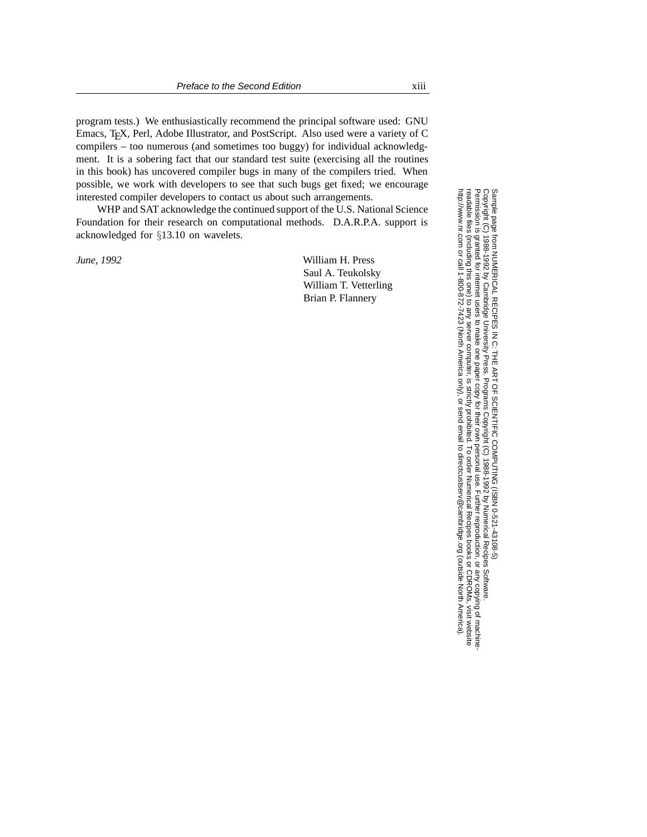program tests.) We enthusiastically recommend the principal software used: GNU Emacs, TEX, Perl, Adobe Illustrator, and PostScript. Also used were a variety of C compilers – too numerous (and sometimes too buggy) for individual acknowledgment. It is a sobering fact that our standard test suite (exercising all the routines in this book) has uncovered compiler bugs in many of the compilers tried. When possible, we work with developers to see that such bugs get fixed; we encourage

interested compiler developers to contact us about such arrangements. WHP and SAT acknowledge the continued support of the U.S. National Science Foundation for their research on computational methods. D.A.R.P.A. support is acknowledged for *§*13.10 on wavelets.

*June, 1992* William H. Press Saul A. Teukolsky William T. Vetterling Brian P. Flannery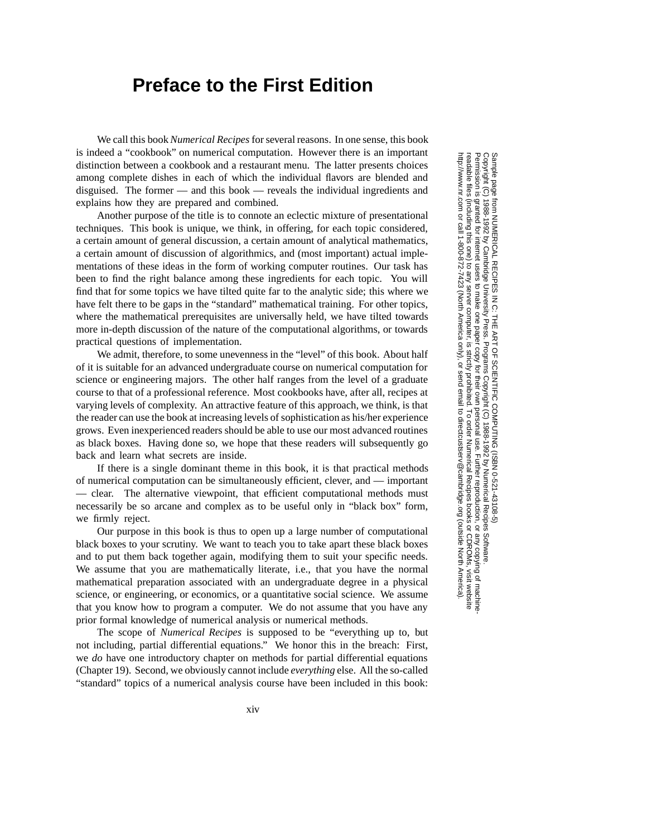### **Preface to the First Edition**

We call this book *Numerical Recipes*for several reasons. In one sense, this book is indeed a "cookbook" on numerical computation. However there is an important distinction between a cookbook and a restaurant menu. The latter presents choices among complete dishes in each of which the individual flavors are blended and disguised. The former — and this book — reveals the individual ingredients and explains how they are prepared and combined.

Another purpose of the title is to connote an eclectic mixture of presentational techniques. This book is unique, we think, in offering, for each topic considered, a certain amount of general discussion, a certain amount of analytical mathematics, a certain amount of discussion of algorithmics, and (most important) actual implementations of these ideas in the form of working computer routines. Our task has been to find the right balance among these ingredients for each topic. You will find that for some topics we have tilted quite far to the analytic side; this where we have felt there to be gaps in the "standard" mathematical training. For other topics, where the mathematical prerequisites are universally held, we have tilted towards more in-depth discussion of the nature of the computational algorithms, or towards practical questions of implementation.

We admit, therefore, to some unevenness in the "level" of this book. About half of it is suitable for an advanced undergraduate course on numerical computation for science or engineering majors. The other half ranges from the level of a graduate course to that of a professional reference. Most cookbooks have, after all, recipes at varying levels of complexity. An attractive feature of this approach, we think, is that the reader can use the book at increasing levels of sophistication as his/her experience grows. Even inexperienced readers should be able to use our most advanced routines as black boxes. Having done so, we hope that these readers will subsequently go back and learn what secrets are inside.

If there is a single dominant theme in this book, it is that practical methods of numerical computation can be simultaneously efficient, clever, and — important — clear. The alternative viewpoint, that efficient computational methods must necessarily be so arcane and complex as to be useful only in "black box" form, we firmly reject.

Our purpose in this book is thus to open up a large number of computational black boxes to your scrutiny. We want to teach you to take apart these black boxes and to put them back together again, modifying them to suit your specific needs. We assume that you are mathematically literate, i.e., that you have the normal mathematical preparation associated with an undergraduate degree in a physical science, or engineering, or economics, or a quantitative social science. We assume that you know how to program a computer. We do not assume that you have any prior formal knowledge of numerical analysis or numerical methods.

The scope of *Numerical Recipes* is supposed to be "everything up to, but not including, partial differential equations." We honor this in the breach: First, we *do* have one introductory chapter on methods for partial differential equations (Chapter 19). Second, we obviously cannot include *everything* else. All the so-called "standard" topics of a numerical analysis course have been included in this book: